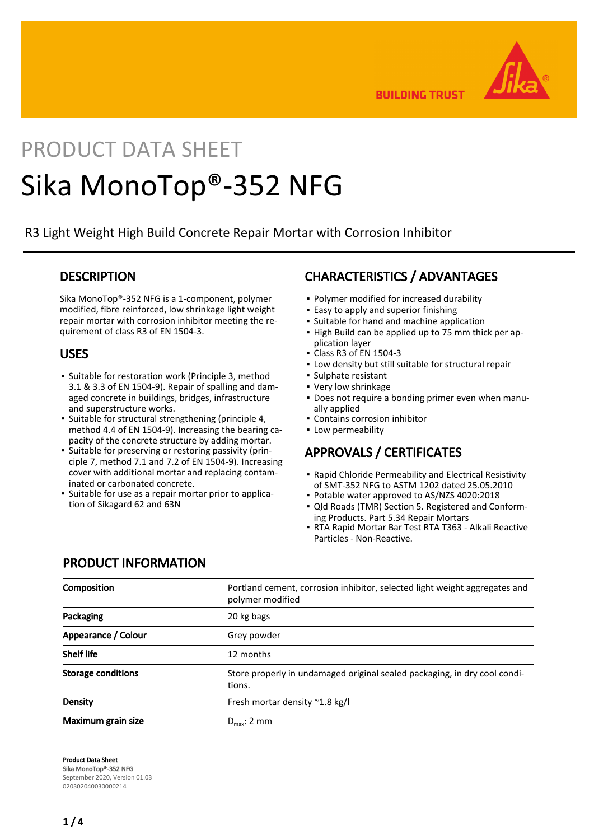

**BUILDING TRUST** 

# PRODUCT DATA SHEET Sika MonoTop®-352 NFG

R3 Light Weight High Build Concrete Repair Mortar with Corrosion Inhibitor

### **DESCRIPTION**

Sika MonoTop®-352 NFG is a 1-component, polymer modified, fibre reinforced, low shrinkage light weight repair mortar with corrosion inhibitor meeting the requirement of class R3 of EN 1504-3.

## USES

- **•** Suitable for restoration work (Principle 3, method 3.1 & 3.3 of EN 1504-9). Repair of spalling and damaged concrete in buildings, bridges, infrastructure and superstructure works.
- Suitable for structural strengthening (principle 4, method 4.4 of EN 1504-9). Increasing the bearing capacity of the concrete structure by adding mortar.
- **Example for preserving or restoring passivity (prin**ciple 7, method 7.1 and 7.2 of EN 1504-9). Increasing cover with additional mortar and replacing contaminated or carbonated concrete.
- **•** Suitable for use as a repair mortar prior to application of Sikagard 62 and 63N

# CHARACTERISTICS / ADVANTAGES

- Polymer modified for increased durability
- **Easy to apply and superior finishing**
- Suitable for hand and machine application
- **.** High Build can be applied up to 75 mm thick per application layer
- Class R3 of EN 1504-3
- **.** Low density but still suitable for structural repair
- Sulphate resistant
- Very low shrinkage
- Does not require a bonding primer even when manu-▪ ally applied
- Contains corrosion inhibitor
- Low permeability

# APPROVALS / CERTIFICATES

- **Rapid Chloride Permeability and Electrical Resistivity** of SMT-352 NFG to ASTM 1202 dated 25.05.2010
- Potable water approved to AS/NZS 4020:2018
- Qld Roads (TMR) Section 5. Registered and Conform-▪ ing Products. Part 5.34 Repair Mortars
- RTA Rapid Mortar Bar Test RTA T363 Alkali Reactive Particles - Non-Reactive.

# PRODUCT INFORMATION

| Composition               | Portland cement, corrosion inhibitor, selected light weight aggregates and<br>polymer modified |
|---------------------------|------------------------------------------------------------------------------------------------|
| Packaging                 | 20 kg bags                                                                                     |
| Appearance / Colour       | Grey powder                                                                                    |
| <b>Shelf life</b>         | 12 months                                                                                      |
| <b>Storage conditions</b> | Store properly in undamaged original sealed packaging, in dry cool condi-<br>tions.            |
| Density                   | Fresh mortar density $^{\sim}$ 1.8 kg/l                                                        |
| Maximum grain size        | $D_{\text{max}}$ : 2 mm                                                                        |

Product Data Sheet Sika MonoTop®-352 NFG September 2020, Version 01.03 020302040030000214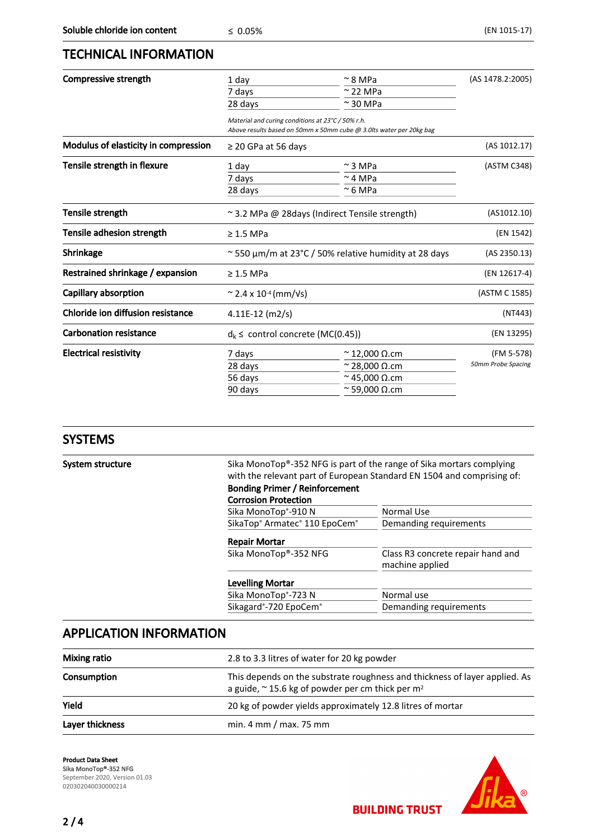## TECHNICAL INFORMATION

| Compressive strength                 | 1 dav                                                                                                                    | $\approx$ 8 MPa                                               | (AS 1478.2:2005)   |
|--------------------------------------|--------------------------------------------------------------------------------------------------------------------------|---------------------------------------------------------------|--------------------|
|                                      | 7 days                                                                                                                   | $\approx$ 22 MPa                                              |                    |
|                                      | 28 days                                                                                                                  | $\approx$ 30 MPa                                              |                    |
|                                      | Material and curing conditions at 23°C / 50% r.h.<br>Above results based on 50mm x 50mm cube @ 3.0lts water per 20kg bag |                                                               |                    |
| Modulus of elasticity in compression | $\geq$ 20 GPa at 56 days                                                                                                 |                                                               | (AS 1012.17)       |
| Tensile strength in flexure          | 1 day                                                                                                                    | $\sim$ 3 MPa                                                  | (ASTM C348)        |
|                                      | 7 days                                                                                                                   | $\sim$ 4 MPa                                                  |                    |
|                                      | 28 days                                                                                                                  | $\approx$ 6 MPa                                               |                    |
| Tensile strength                     | ~3.2 MPa @ 28days (Indirect Tensile strength)                                                                            |                                                               | (AS1012.10)        |
| Tensile adhesion strength            | $\geq$ 1.5 MPa                                                                                                           |                                                               | (EN 1542)          |
| Shrinkage                            |                                                                                                                          | $\approx$ 550 µm/m at 23°C / 50% relative humidity at 28 days | (AS 2350.13)       |
| Restrained shrinkage / expansion     | $\geq$ 1.5 MPa                                                                                                           |                                                               | (EN 12617-4)       |
| Capillary absorption                 | ~ 2.4 x 10 <sup>-4</sup> (mm/ $\sqrt{s}$ )                                                                               |                                                               | (ASTM C 1585)      |
| Chloride ion diffusion resistance    | 4.11E-12 (m2/s)                                                                                                          |                                                               | (NT443)            |
| <b>Carbonation resistance</b>        | $d_k \le$ control concrete (MC(0.45))                                                                                    |                                                               | (EN 13295)         |
| <b>Electrical resistivity</b>        | 7 days                                                                                                                   | $\approx$ 12,000 Q.cm                                         | (FM 5-578)         |
|                                      | 28 days                                                                                                                  | $\sim$ 28,000 $\Omega$ .cm                                    | 50mm Probe Spacing |
|                                      | 56 days                                                                                                                  | $\approx$ 45.000 $\Omega$ .cm                                 |                    |
|                                      | 90 days                                                                                                                  | $\approx$ 59,000 $\Omega$ .cm                                 |                    |

## SYSTEMS

| System structure | Sika MonoTop®-352 NFG is part of the range of Sika mortars complying<br>with the relevant part of European Standard EN 1504 and comprising of: |                                                      |  |  |
|------------------|------------------------------------------------------------------------------------------------------------------------------------------------|------------------------------------------------------|--|--|
|                  | <b>Bonding Primer / Reinforcement</b><br><b>Corrosion Protection</b>                                                                           |                                                      |  |  |
|                  |                                                                                                                                                |                                                      |  |  |
|                  | Sika MonoTop®-910 N                                                                                                                            | <b>Normal Use</b>                                    |  |  |
|                  | SikaTop® Armatec® 110 EpoCem®                                                                                                                  | Demanding requirements                               |  |  |
|                  | <b>Repair Mortar</b>                                                                                                                           |                                                      |  |  |
|                  | Sika MonoTop®-352 NFG                                                                                                                          | Class R3 concrete repair hand and<br>machine applied |  |  |
|                  | <b>Levelling Mortar</b>                                                                                                                        |                                                      |  |  |
|                  | Sika MonoTop®-723 N                                                                                                                            | Normal use                                           |  |  |
|                  | Sikagard®-720 EpoCem®                                                                                                                          | Demanding requirements                               |  |  |

# APPLICATION INFORMATION

| <b>Mixing ratio</b> | 2.8 to 3.3 litres of water for 20 kg powder                                                                                                        |
|---------------------|----------------------------------------------------------------------------------------------------------------------------------------------------|
| Consumption         | This depends on the substrate roughness and thickness of layer applied. As<br>a guide, $\approx$ 15.6 kg of powder per cm thick per m <sup>2</sup> |
| Yield               | 20 kg of powder yields approximately 12.8 litres of mortar                                                                                         |
| Layer thickness     | min. 4 mm / max. 75 mm                                                                                                                             |

Product Data Sheet Sika MonoTop®-352 NFG September 2020, Version 01.03 020302040030000214



**BUILDING TRUST**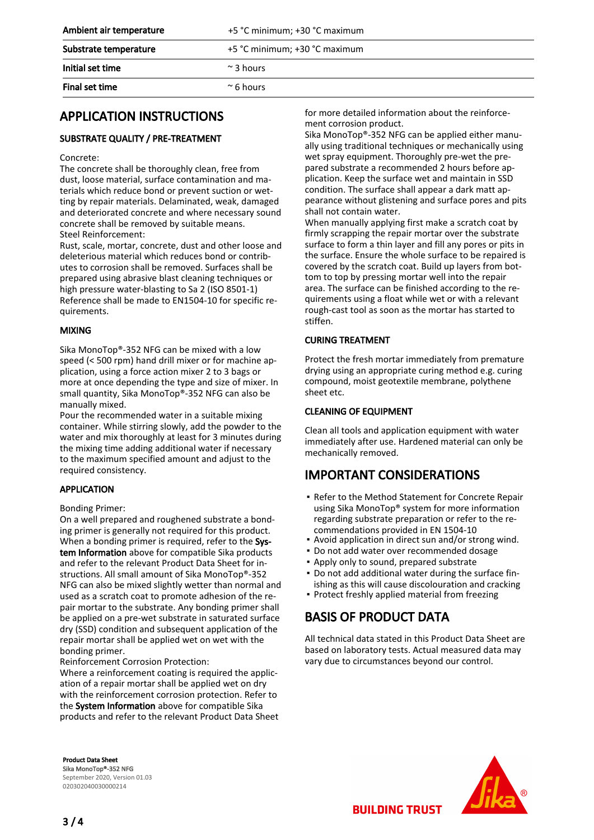| Ambient air temperature | +5 °C minimum; +30 °C maximum |
|-------------------------|-------------------------------|
| Substrate temperature   | +5 °C minimum; +30 °C maximum |
| Initial set time        | $\approx$ 3 hours             |
| Final set time          | $^{\sim}$ 6 hours             |

# APPLICATION INSTRUCTIONS

#### SUBSTRATE QUALITY / PRE-TREATMENT

#### Concrete:

The concrete shall be thoroughly clean, free from dust, loose material, surface contamination and materials which reduce bond or prevent suction or wetting by repair materials. Delaminated, weak, damaged and deteriorated concrete and where necessary sound concrete shall be removed by suitable means. Steel Reinforcement:

Rust, scale, mortar, concrete, dust and other loose and deleterious material which reduces bond or contributes to corrosion shall be removed. Surfaces shall be prepared using abrasive blast cleaning techniques or high pressure water-blasting to Sa 2 (ISO 8501-1) Reference shall be made to EN1504-10 for specific requirements.

#### MIXING

Sika MonoTop®-352 NFG can be mixed with a low speed (< 500 rpm) hand drill mixer or for machine application, using a force action mixer 2 to 3 bags or more at once depending the type and size of mixer. In small quantity, Sika MonoTop®-352 NFG can also be manually mixed.

Pour the recommended water in a suitable mixing container. While stirring slowly, add the powder to the water and mix thoroughly at least for 3 minutes during the mixing time adding additional water if necessary to the maximum specified amount and adjust to the required consistency.

#### APPLICATION

#### Bonding Primer:

On a well prepared and roughened substrate a bonding primer is generally not required for this product. When a bonding primer is required, refer to the System Information above for compatible Sika products and refer to the relevant Product Data Sheet for instructions. All small amount of Sika MonoTop®-352 NFG can also be mixed slightly wetter than normal and used as a scratch coat to promote adhesion of the repair mortar to the substrate. Any bonding primer shall be applied on a pre-wet substrate in saturated surface dry (SSD) condition and subsequent application of the repair mortar shall be applied wet on wet with the bonding primer.

Reinforcement Corrosion Protection:

Where a reinforcement coating is required the application of a repair mortar shall be applied wet on dry with the reinforcement corrosion protection. Refer to the System Information above for compatible Sika products and refer to the relevant Product Data Sheet

Product Data Sheet Sika MonoTop®-352 NFG September 2020, Version 01.03 020302040030000214

for more detailed information about the reinforcement corrosion product.

Sika MonoTop®-352 NFG can be applied either manually using traditional techniques or mechanically using wet spray equipment. Thoroughly pre-wet the prepared substrate a recommended 2 hours before application. Keep the surface wet and maintain in SSD condition. The surface shall appear a dark matt appearance without glistening and surface pores and pits shall not contain water.

When manually applying first make a scratch coat by firmly scrapping the repair mortar over the substrate surface to form a thin layer and fill any pores or pits in the surface. Ensure the whole surface to be repaired is covered by the scratch coat. Build up layers from bottom to top by pressing mortar well into the repair area. The surface can be finished according to the requirements using a float while wet or with a relevant rough-cast tool as soon as the mortar has started to stiffen.

#### CURING TREATMENT

Protect the fresh mortar immediately from premature drying using an appropriate curing method e.g. curing compound, moist geotextile membrane, polythene sheet etc.

#### CLEANING OF EQUIPMENT

Clean all tools and application equipment with water immediately after use. Hardened material can only be mechanically removed.

## IMPORTANT CONSIDERATIONS

- Refer to the Method Statement for Concrete Repair using Sika MonoTop® system for more information regarding substrate preparation or refer to the recommendations provided in EN 1504-10
- Avoid application in direct sun and/or strong wind.
- Do not add water over recommended dosage
- Apply only to sound, prepared substrate
- Do not add additional water during the surface fin-▪ ishing as this will cause discolouration and cracking
- Protect freshly applied material from freezing

# BASIS OF PRODUCT DATA

All technical data stated in this Product Data Sheet are based on laboratory tests. Actual measured data may vary due to circumstances beyond our control.



**BUILDING TRUST**